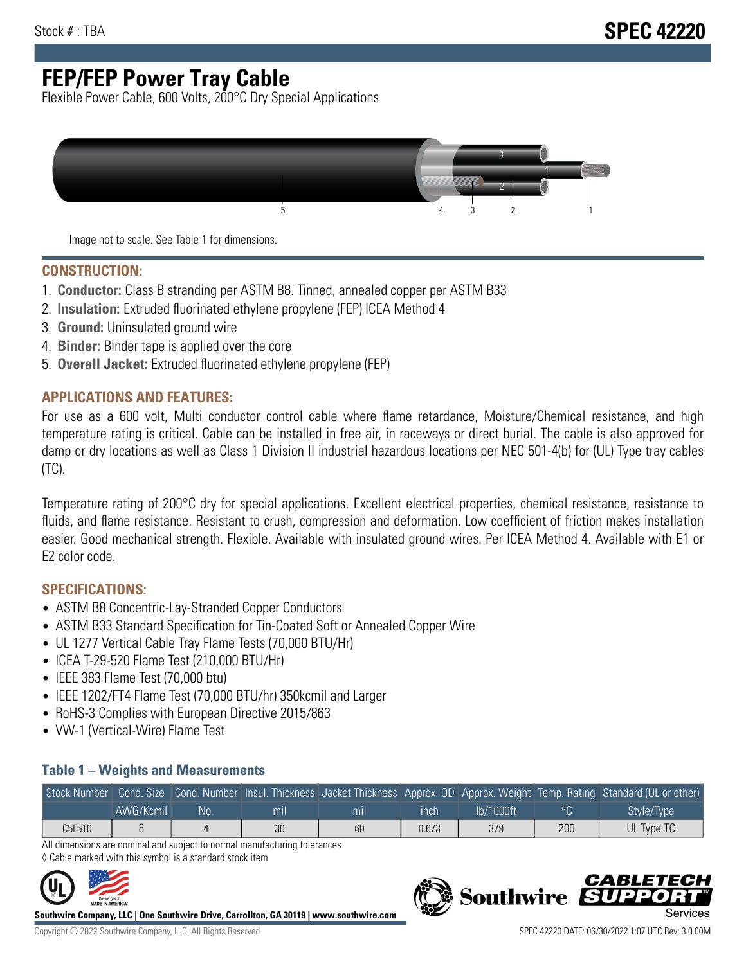# **FEP/FEP Power Tray Cable**

Flexible Power Cable, 600 Volts, 200°C Dry Special Applications



Image not to scale. See Table 1 for dimensions.

#### **CONSTRUCTION:**

- 1. **Conductor:** Class B stranding per ASTM B8. Tinned, annealed copper per ASTM B33
- 2. **Insulation:** Extruded fluorinated ethylene propylene (FEP) ICEA Method 4
- 3. **Ground:** Uninsulated ground wire
- 4. **Binder:** Binder tape is applied over the core
- 5. **Overall Jacket:** Extruded fluorinated ethylene propylene (FEP)

### **APPLICATIONS AND FEATURES:**

For use as a 600 volt, Multi conductor control cable where flame retardance, Moisture/Chemical resistance, and high temperature rating is critical. Cable can be installed in free air, in raceways or direct burial. The cable is also approved for damp or dry locations as well as Class 1 Division II industrial hazardous locations per NEC 501-4(b) for (UL) Type tray cables (TC).

Temperature rating of 200°C dry for special applications. Excellent electrical properties, chemical resistance, resistance to fluids, and flame resistance. Resistant to crush, compression and deformation. Low coefficient of friction makes installation easier. Good mechanical strength. Flexible. Available with insulated ground wires. Per ICEA Method 4. Available with E1 or E2 color code.

### **SPECIFICATIONS:**

- ASTM B8 Concentric-Lay-Stranded Copper Conductors
- ASTM B33 Standard Specification for Tin-Coated Soft or Annealed Copper Wire
- UL 1277 Vertical Cable Tray Flame Tests (70,000 BTU/Hr)
- ICEA T-29-520 Flame Test (210,000 BTU/Hr)
- IEEE 383 Flame Test (70,000 btu)
- IEEE 1202/FT4 Flame Test (70,000 BTU/hr) 350kcmil and Larger
- RoHS-3 Complies with European Directive 2015/863
- VW-1 (Vertical-Wire) Flame Test

#### **Table 1 – Weights and Measurements**

|        |           |     |     |     |       |           |     | Stock Number Cond. Size Cond. Number Insul. Thickness Jacket Thickness Approx. OD Approx. Weight Temp. Rating Standard (UL or other) |
|--------|-----------|-----|-----|-----|-------|-----------|-----|--------------------------------------------------------------------------------------------------------------------------------------|
|        | AWG/Kcmil | No. | mıl | mil | ınch  | lb/1000ft |     | Style/Type                                                                                                                           |
| C5F510 |           |     | 30  | 60  | 0.673 | 379       | 200 | UL Type TC                                                                                                                           |

All dimensions are nominal and subject to normal manufacturing tolerances ◊ Cable marked with this symbol is a standard stock item



**Southwire Company, LLC | One Southwire Drive, Carrollton, GA 30119 | www.southwire.com**